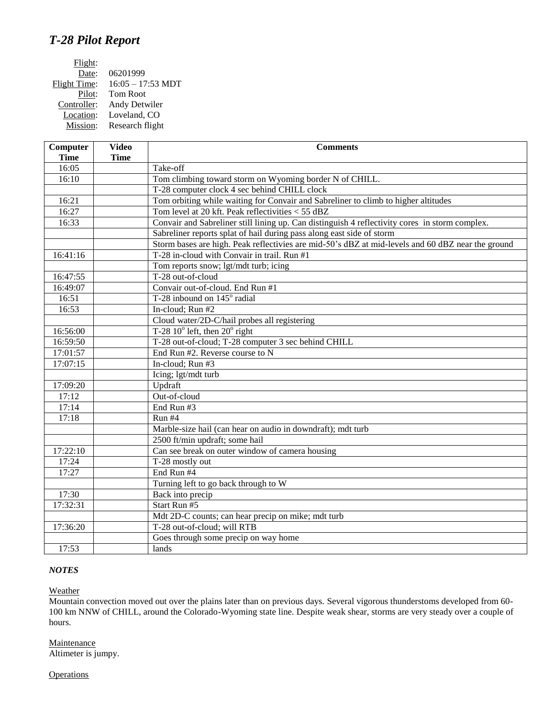## *T-28 Pilot Report*

| Flight:      |                             |
|--------------|-----------------------------|
| Date:        | 06201999                    |
| Flight Time: | $16:05 - 17:53 \text{ MDT}$ |
| Pilot:       | Tom Root                    |
| Controller:  | Andy Detwiler               |
| Location:    | Loveland, CO                |
| Mission:     | Research flight             |
|              |                             |

| Computer    | <b>Video</b> | <b>Comments</b>                                                                                   |
|-------------|--------------|---------------------------------------------------------------------------------------------------|
| <b>Time</b> | <b>Time</b>  |                                                                                                   |
| 16:05       |              | Take-off                                                                                          |
| 16:10       |              | Tom climbing toward storm on Wyoming border N of CHILL.                                           |
|             |              | T-28 computer clock 4 sec behind CHILL clock                                                      |
| 16:21       |              | Tom orbiting while waiting for Convair and Sabreliner to climb to higher altitudes                |
| 16:27       |              | Tom level at 20 kft. Peak reflectivities < 55 dBZ                                                 |
| 16:33       |              | Convair and Sabreliner still lining up. Can distinguish 4 reflectivity cores in storm complex.    |
|             |              | Sabreliner reports splat of hail during pass along east side of storm                             |
|             |              | Storm bases are high. Peak reflectivies are mid-50's dBZ at mid-levels and 60 dBZ near the ground |
| 16:41:16    |              | T-28 in-cloud with Convair in trail. Run #1                                                       |
|             |              | Tom reports snow; lgt/mdt turb; icing                                                             |
| 16:47:55    |              | T-28 out-of-cloud                                                                                 |
| 16:49:07    |              | Convair out-of-cloud. End Run #1                                                                  |
| 16:51       |              | T-28 inbound on $145^\circ$ radial                                                                |
| 16:53       |              | In-cloud; Run #2                                                                                  |
|             |              | Cloud water/2D-C/hail probes all registering                                                      |
| 16:56:00    |              | T-28 $10^{\circ}$ left, then $20^{\circ}$ right                                                   |
| 16:59:50    |              | T-28 out-of-cloud; T-28 computer 3 sec behind CHILL                                               |
| 17:01:57    |              | End Run #2. Reverse course to N                                                                   |
| 17:07:15    |              | In-cloud; Run #3                                                                                  |
|             |              | Icing; lgt/mdt turb                                                                               |
| 17:09:20    |              | Updraft                                                                                           |
| 17:12       |              | Out-of-cloud                                                                                      |
| 17:14       |              | End Run #3                                                                                        |
| 17:18       |              | Run #4                                                                                            |
|             |              | Marble-size hail (can hear on audio in downdraft); mdt turb                                       |
|             |              | 2500 ft/min updraft; some hail                                                                    |
| 17:22:10    |              | Can see break on outer window of camera housing                                                   |
| 17:24       |              | T-28 mostly out                                                                                   |
| 17:27       |              | End Run #4                                                                                        |
|             |              | Turning left to go back through to W                                                              |
| 17:30       |              | Back into precip                                                                                  |
| 17:32:31    |              | Start Run #5                                                                                      |
|             |              | Mdt 2D-C counts; can hear precip on mike; mdt turb                                                |
| 17:36:20    |              | T-28 out-of-cloud; will RTB                                                                       |
|             |              | Goes through some precip on way home                                                              |
| 17:53       |              | lands                                                                                             |

## *NOTES*

## **Weather**

Mountain convection moved out over the plains later than on previous days. Several vigorous thunderstoms developed from 60- 100 km NNW of CHILL, around the Colorado-Wyoming state line. Despite weak shear, storms are very steady over a couple of hours.

**Maintenance** Altimeter is jumpy.

**Operations**